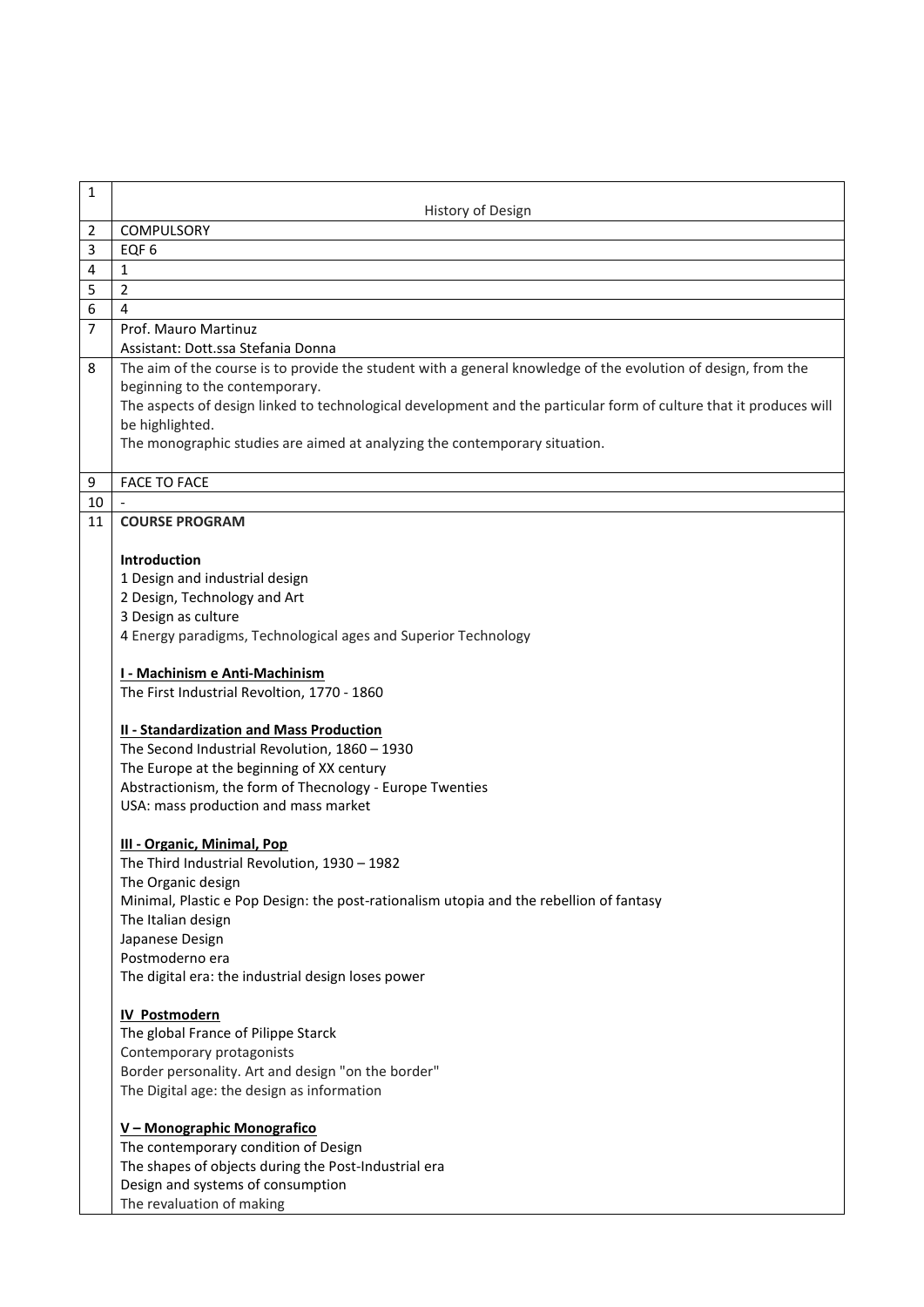| 1                   |                                                                                                                    |
|---------------------|--------------------------------------------------------------------------------------------------------------------|
|                     | History of Design                                                                                                  |
| $\overline{2}$      | <b>COMPULSORY</b>                                                                                                  |
| 3                   | EQF <sub>6</sub>                                                                                                   |
| 4                   | 1                                                                                                                  |
| 5                   | $\overline{2}$                                                                                                     |
| 6<br>$\overline{7}$ | 4                                                                                                                  |
|                     | Prof. Mauro Martinuz<br>Assistant: Dott.ssa Stefania Donna                                                         |
| 8                   | The aim of the course is to provide the student with a general knowledge of the evolution of design, from the      |
|                     | beginning to the contemporary.                                                                                     |
|                     | The aspects of design linked to technological development and the particular form of culture that it produces will |
|                     | be highlighted.                                                                                                    |
|                     | The monographic studies are aimed at analyzing the contemporary situation.                                         |
|                     |                                                                                                                    |
| 9                   | <b>FACE TO FACE</b>                                                                                                |
| 10                  |                                                                                                                    |
| 11                  | <b>COURSE PROGRAM</b>                                                                                              |
|                     |                                                                                                                    |
|                     | <b>Introduction</b><br>1 Design and industrial design                                                              |
|                     | 2 Design, Technology and Art                                                                                       |
|                     | 3 Design as culture                                                                                                |
|                     | 4 Energy paradigms, Technological ages and Superior Technology                                                     |
|                     |                                                                                                                    |
|                     | I - Machinism e Anti-Machinism                                                                                     |
|                     | The First Industrial Revoltion, 1770 - 1860                                                                        |
|                     |                                                                                                                    |
|                     | <b>II - Standardization and Mass Production</b>                                                                    |
|                     | The Second Industrial Revolution, 1860 - 1930<br>The Europe at the beginning of XX century                         |
|                     | Abstractionism, the form of Thecnology - Europe Twenties                                                           |
|                     | USA: mass production and mass market                                                                               |
|                     |                                                                                                                    |
|                     | <b>III - Organic, Minimal, Pop</b>                                                                                 |
|                     | The Third Industrial Revolution, 1930 - 1982                                                                       |
|                     | The Organic design                                                                                                 |
|                     | Minimal, Plastic e Pop Design: the post-rationalism utopia and the rebellion of fantasy                            |
|                     | The Italian design                                                                                                 |
|                     | Japanese Design                                                                                                    |
|                     | Postmoderno era<br>The digital era: the industrial design loses power                                              |
|                     |                                                                                                                    |
|                     | <b>IV Postmodern</b>                                                                                               |
|                     | The global France of Pilippe Starck                                                                                |
|                     | Contemporary protagonists                                                                                          |
|                     | Border personality. Art and design "on the border"                                                                 |
|                     | The Digital age: the design as information                                                                         |
|                     |                                                                                                                    |
|                     | V - Monographic Monografico                                                                                        |
|                     | The contemporary condition of Design<br>The shapes of objects during the Post-Industrial era                       |
|                     | Design and systems of consumption                                                                                  |
|                     | The revaluation of making                                                                                          |